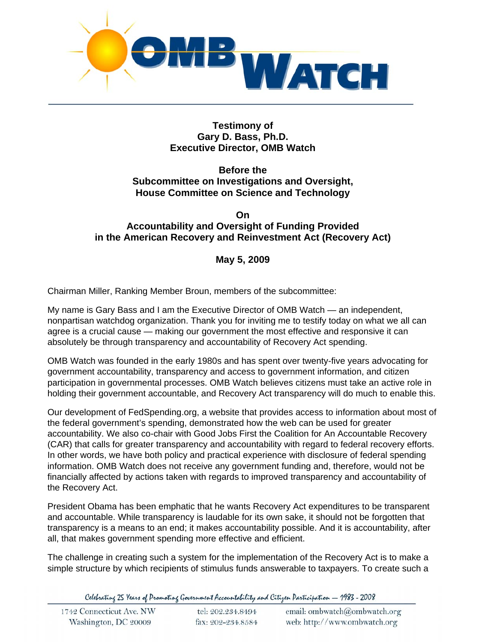

#### **Testimony of Gary D. Bass, Ph.D. Executive Director, OMB Watch**

## **Before the Subcommittee on Investigations and Oversight, House Committee on Science and Technology**

#### **On Accountability and Oversight of Funding Provided in the American Recovery and Reinvestment Act (Recovery Act)**

# **May 5, 2009**

Chairman Miller, Ranking Member Broun, members of the subcommittee:

My name is Gary Bass and I am the Executive Director of OMB Watch — an independent, nonpartisan watchdog organization. Thank you for inviting me to testify today on what we all can agree is a crucial cause — making our government the most effective and responsive it can absolutely be through transparency and accountability of Recovery Act spending.

OMB Watch was founded in the early 1980s and has spent over twenty-five years advocating for government accountability, transparency and access to government information, and citizen participation in governmental processes. OMB Watch believes citizens must take an active role in holding their government accountable, and Recovery Act transparency will do much to enable this.

Our development of FedSpending.org, a website that provides access to information about most of the federal government's spending, demonstrated how the web can be used for greater accountability. We also co-chair with Good Jobs First the Coalition for An Accountable Recovery (CAR) that calls for greater transparency and accountability with regard to federal recovery efforts. In other words, we have both policy and practical experience with disclosure of federal spending information. OMB Watch does not receive any government funding and, therefore, would not be financially affected by actions taken with regards to improved transparency and accountability of the Recovery Act.

President Obama has been emphatic that he wants Recovery Act expenditures to be transparent and accountable. While transparency is laudable for its own sake, it should not be forgotten that transparency is a means to an end; it makes accountability possible. And it is accountability, after all, that makes government spending more effective and efficient.

The challenge in creating such a system for the implementation of the Recovery Act is to make a simple structure by which recipients of stimulus funds answerable to taxpayers. To create such a

Celebrating 25 Years of Promoting Government Accountability and Citizen Participation - 1983 - 2008

| 1742 Connecticut Ave. NW<br>Washington, DC 20009 | tel: 202.234.8494<br>fax: 202-234.8584 | email: ombwatch@ombwatch.org<br>web: http://www.ombwatch.org |
|--------------------------------------------------|----------------------------------------|--------------------------------------------------------------|
|--------------------------------------------------|----------------------------------------|--------------------------------------------------------------|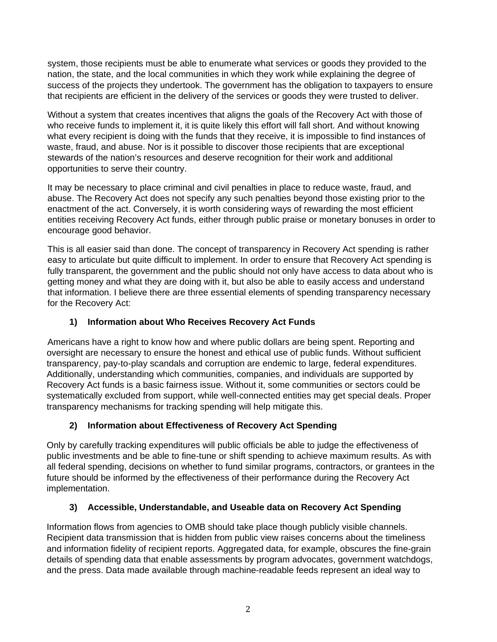system, those recipients must be able to enumerate what services or goods they provided to the nation, the state, and the local communities in which they work while explaining the degree of success of the projects they undertook. The government has the obligation to taxpayers to ensure that recipients are efficient in the delivery of the services or goods they were trusted to deliver.

Without a system that creates incentives that aligns the goals of the Recovery Act with those of who receive funds to implement it, it is quite likely this effort will fall short. And without knowing what every recipient is doing with the funds that they receive, it is impossible to find instances of waste, fraud, and abuse. Nor is it possible to discover those recipients that are exceptional stewards of the nation's resources and deserve recognition for their work and additional opportunities to serve their country.

It may be necessary to place criminal and civil penalties in place to reduce waste, fraud, and abuse. The Recovery Act does not specify any such penalties beyond those existing prior to the enactment of the act. Conversely, it is worth considering ways of rewarding the most efficient entities receiving Recovery Act funds, either through public praise or monetary bonuses in order to encourage good behavior.

This is all easier said than done. The concept of transparency in Recovery Act spending is rather easy to articulate but quite difficult to implement. In order to ensure that Recovery Act spending is fully transparent, the government and the public should not only have access to data about who is getting money and what they are doing with it, but also be able to easily access and understand that information. I believe there are three essential elements of spending transparency necessary for the Recovery Act:

## **1) Information about Who Receives Recovery Act Funds**

Americans have a right to know how and where public dollars are being spent. Reporting and oversight are necessary to ensure the honest and ethical use of public funds. Without sufficient transparency, pay-to-play scandals and corruption are endemic to large, federal expenditures. Additionally, understanding which communities, companies, and individuals are supported by Recovery Act funds is a basic fairness issue. Without it, some communities or sectors could be systematically excluded from support, while well-connected entities may get special deals. Proper transparency mechanisms for tracking spending will help mitigate this.

## **2) Information about Effectiveness of Recovery Act Spending**

Only by carefully tracking expenditures will public officials be able to judge the effectiveness of public investments and be able to fine-tune or shift spending to achieve maximum results. As with all federal spending, decisions on whether to fund similar programs, contractors, or grantees in the future should be informed by the effectiveness of their performance during the Recovery Act implementation.

## **3) Accessible, Understandable, and Useable data on Recovery Act Spending**

Information flows from agencies to OMB should take place though publicly visible channels. Recipient data transmission that is hidden from public view raises concerns about the timeliness and information fidelity of recipient reports. Aggregated data, for example, obscures the fine-grain details of spending data that enable assessments by program advocates, government watchdogs, and the press. Data made available through machine-readable feeds represent an ideal way to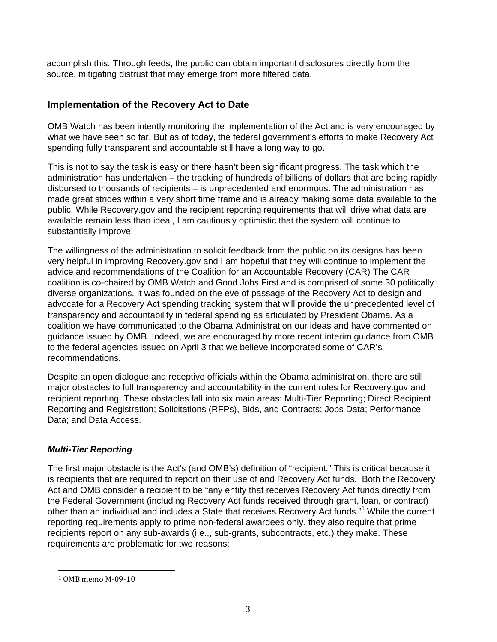accomplish this. Through feeds, the public can obtain important disclosures directly from the source, mitigating distrust that may emerge from more filtered data.

## **Implementation of the Recovery Act to Date**

OMB Watch has been intently monitoring the implementation of the Act and is very encouraged by what we have seen so far. But as of today, the federal government's efforts to make Recovery Act spending fully transparent and accountable still have a long way to go.

This is not to say the task is easy or there hasn't been significant progress. The task which the administration has undertaken – the tracking of hundreds of billions of dollars that are being rapidly disbursed to thousands of recipients – is unprecedented and enormous. The administration has made great strides within a very short time frame and is already making some data available to the public. While Recovery.gov and the recipient reporting requirements that will drive what data are available remain less than ideal, I am cautiously optimistic that the system will continue to substantially improve.

The willingness of the administration to solicit feedback from the public on its designs has been very helpful in improving Recovery.gov and I am hopeful that they will continue to implement the advice and recommendations of the Coalition for an Accountable Recovery (CAR) The CAR coalition is co-chaired by OMB Watch and Good Jobs First and is comprised of some 30 politically diverse organizations. It was founded on the eve of passage of the Recovery Act to design and advocate for a Recovery Act spending tracking system that will provide the unprecedented level of transparency and accountability in federal spending as articulated by President Obama. As a coalition we have communicated to the Obama Administration our ideas and have commented on guidance issued by OMB. Indeed, we are encouraged by more recent interim guidance from OMB to the federal agencies issued on April 3 that we believe incorporated some of CAR's recommendations.

Despite an open dialogue and receptive officials within the Obama administration, there are still major obstacles to full transparency and accountability in the current rules for Recovery.gov and recipient reporting. These obstacles fall into six main areas: Multi-Tier Reporting; Direct Recipient Reporting and Registration; Solicitations (RFPs), Bids, and Contracts; Jobs Data; Performance Data; and Data Access.

## *Multi-Tier Reporting*

The first major obstacle is the Act's (and OMB's) definition of "recipient." This is critical because it is recipients that are required to report on their use of and Recovery Act funds. Both the Recovery Act and OMB consider a recipient to be "any entity that receives Recovery Act funds directly from the Federal Government (including Recovery Act funds received through grant, loan, or contract) other than an individual and includes a State that receives Recovery Act funds."<sup>1</sup> While the current reporting requirements apply to prime non-federal awardees only, they also require that prime recipients report on any sub-awards (i.e.,, sub-grants, subcontracts, etc.) they make. These requirements are problematic for two reasons:

<u> Andreas Andreas Andreas Andreas Andreas Andreas Andreas Andreas Andreas Andreas Andreas Andreas Andreas Andreas</u>

<sup>1</sup> OMB memo M‐09‐10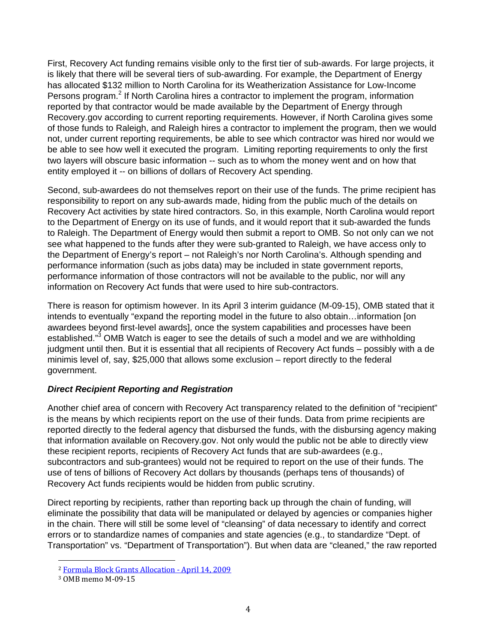First, Recovery Act funding remains visible only to the first tier of sub-awards. For large projects, it is likely that there will be several tiers of sub-awarding. For example, the Department of Energy has allocated \$132 million to North Carolina for its Weatherization Assistance for Low-Income Persons program.<sup>2</sup> If North Carolina hires a contractor to implement the program, information reported by that contractor would be made available by the Department of Energy through Recovery.gov according to current reporting requirements. However, if North Carolina gives some of those funds to Raleigh, and Raleigh hires a contractor to implement the program, then we would not, under current reporting requirements, be able to see which contractor was hired nor would we be able to see how well it executed the program. Limiting reporting requirements to only the first two layers will obscure basic information -- such as to whom the money went and on how that entity employed it -- on billions of dollars of Recovery Act spending.

Second, sub-awardees do not themselves report on their use of the funds. The prime recipient has responsibility to report on any sub-awards made, hiding from the public much of the details on Recovery Act activities by state hired contractors. So, in this example, North Carolina would report to the Department of Energy on its use of funds, and it would report that it sub-awarded the funds to Raleigh. The Department of Energy would then submit a report to OMB. So not only can we not see what happened to the funds after they were sub-granted to Raleigh, we have access only to the Department of Energy's report – not Raleigh's nor North Carolina's. Although spending and performance information (such as jobs data) may be included in state government reports, performance information of those contractors will not be available to the public, nor will any information on Recovery Act funds that were used to hire sub-contractors.

There is reason for optimism however. In its April 3 interim guidance (M-09-15), OMB stated that it intends to eventually "expand the reporting model in the future to also obtain…information [on awardees beyond first-level awards], once the system capabilities and processes have been established."<sup>3</sup> OMB Watch is eager to see the details of such a model and we are withholding judgment until then. But it is essential that all recipients of Recovery Act funds – possibly with a de minimis level of, say, \$25,000 that allows some exclusion – report directly to the federal government.

## *Direct Recipient Reporting and Registration*

Another chief area of concern with Recovery Act transparency related to the definition of "recipient" is the means by which recipients report on the use of their funds. Data from prime recipients are reported directly to the federal agency that disbursed the funds, with the disbursing agency making that information available on Recovery.gov. Not only would the public not be able to directly view these recipient reports, recipients of Recovery Act funds that are sub-awardees (e.g., subcontractors and sub-grantees) would not be required to report on the use of their funds. The use of tens of billions of Recovery Act dollars by thousands (perhaps tens of thousands) of Recovery Act funds recipients would be hidden from public scrutiny.

Direct reporting by recipients, rather than reporting back up through the chain of funding, will eliminate the possibility that data will be manipulated or delayed by agencies or companies higher in the chain. There will still be some level of "cleansing" of data necessary to identify and correct errors or to standardize names of companies and state agencies (e.g., to standardize "Dept. of Transportation" vs. "Department of Transportation"). But when data are "cleaned," the raw reported

<sup>2</sup> Formula Block Grants Allocation ‐ April 14, 2009

<sup>3</sup> OMB memo M‐09‐15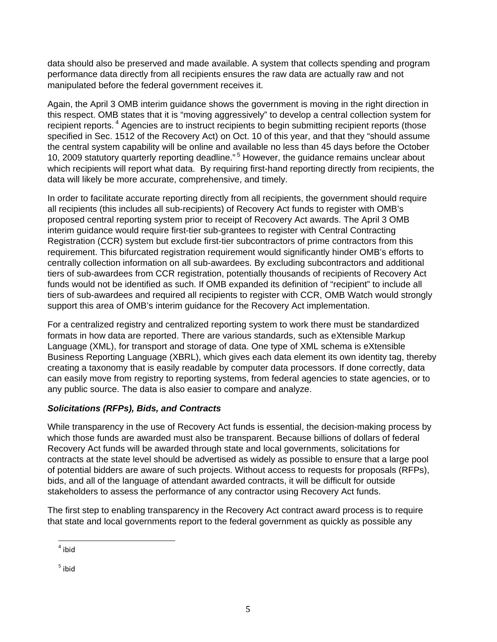data should also be preserved and made available. A system that collects spending and program performance data directly from all recipients ensures the raw data are actually raw and not manipulated before the federal government receives it.

Again, the April 3 OMB interim guidance shows the government is moving in the right direction in this respect. OMB states that it is "moving aggressively" to develop a central collection system for recipient reports.<sup>4</sup> Agencies are to instruct recipients to begin submitting recipient reports (those specified in Sec. 1512 of the Recovery Act) on Oct. 10 of this year, and that they "should assume the central system capability will be online and available no less than 45 days before the October 10, 2009 statutory quarterly reporting deadline." 5 However, the guidance remains unclear about which recipients will report what data. By requiring first-hand reporting directly from recipients, the data will likely be more accurate, comprehensive, and timely.

In order to facilitate accurate reporting directly from all recipients, the government should require all recipients (this includes all sub-recipients) of Recovery Act funds to register with OMB's proposed central reporting system prior to receipt of Recovery Act awards. The April 3 OMB interim guidance would require first-tier sub-grantees to register with Central Contracting Registration (CCR) system but exclude first-tier subcontractors of prime contractors from this requirement. This bifurcated registration requirement would significantly hinder OMB's efforts to centrally collection information on all sub-awardees. By excluding subcontractors and additional tiers of sub-awardees from CCR registration, potentially thousands of recipients of Recovery Act funds would not be identified as such. If OMB expanded its definition of "recipient" to include all tiers of sub-awardees and required all recipients to register with CCR, OMB Watch would strongly support this area of OMB's interim guidance for the Recovery Act implementation.

For a centralized registry and centralized reporting system to work there must be standardized formats in how data are reported. There are various standards, such as eXtensible Markup Language (XML), for transport and storage of data. One type of XML schema is eXtensible Business Reporting Language (XBRL), which gives each data element its own identity tag, thereby creating a taxonomy that is easily readable by computer data processors. If done correctly, data can easily move from registry to reporting systems, from federal agencies to state agencies, or to any public source. The data is also easier to compare and analyze.

## *Solicitations (RFPs), Bids, and Contracts*

While transparency in the use of Recovery Act funds is essential, the decision-making process by which those funds are awarded must also be transparent. Because billions of dollars of federal Recovery Act funds will be awarded through state and local governments, solicitations for contracts at the state level should be advertised as widely as possible to ensure that a large pool of potential bidders are aware of such projects. Without access to requests for proposals (RFPs), bids, and all of the language of attendant awarded contracts, it will be difficult for outside stakeholders to assess the performance of any contractor using Recovery Act funds.

The first step to enabling transparency in the Recovery Act contract award process is to require that state and local governments report to the federal government as quickly as possible any

 $<sup>5</sup>$  ibid</sup>

<sup>&</sup>lt;u> Andreas Andreas Andreas Andreas Andreas Andreas Andreas Andreas Andreas Andreas Andreas Andreas Andreas Andreas</u>  $4$  ibid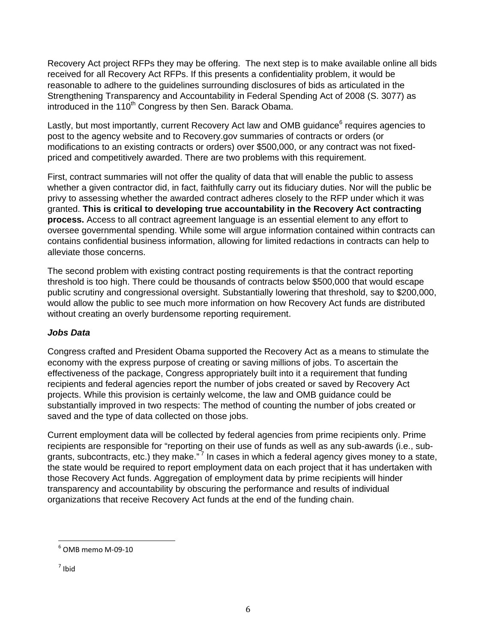Recovery Act project RFPs they may be offering. The next step is to make available online all bids received for all Recovery Act RFPs. If this presents a confidentiality problem, it would be reasonable to adhere to the guidelines surrounding disclosures of bids as articulated in the Strengthening Transparency and Accountability in Federal Spending Act of 2008 (S. 3077) as introduced in the 110<sup>th</sup> Congress by then Sen. Barack Obama.

Lastly, but most importantly, current Recovery Act law and OMB guidance<sup>6</sup> requires agencies to post to the agency website and to Recovery.gov summaries of contracts or orders (or modifications to an existing contracts or orders) over \$500,000, or any contract was not fixedpriced and competitively awarded. There are two problems with this requirement.

First, contract summaries will not offer the quality of data that will enable the public to assess whether a given contractor did, in fact, faithfully carry out its fiduciary duties. Nor will the public be privy to assessing whether the awarded contract adheres closely to the RFP under which it was granted. **This is critical to developing true accountability in the Recovery Act contracting process.** Access to all contract agreement language is an essential element to any effort to oversee governmental spending. While some will argue information contained within contracts can contains confidential business information, allowing for limited redactions in contracts can help to alleviate those concerns.

The second problem with existing contract posting requirements is that the contract reporting threshold is too high. There could be thousands of contracts below \$500,000 that would escape public scrutiny and congressional oversight. Substantially lowering that threshold, say to \$200,000, would allow the public to see much more information on how Recovery Act funds are distributed without creating an overly burdensome reporting requirement.

## *Jobs Data*

Congress crafted and President Obama supported the Recovery Act as a means to stimulate the economy with the express purpose of creating or saving millions of jobs. To ascertain the effectiveness of the package, Congress appropriately built into it a requirement that funding recipients and federal agencies report the number of jobs created or saved by Recovery Act projects. While this provision is certainly welcome, the law and OMB guidance could be substantially improved in two respects: The method of counting the number of jobs created or saved and the type of data collected on those jobs.

Current employment data will be collected by federal agencies from prime recipients only. Prime recipients are responsible for "reporting on their use of funds as well as any sub-awards (i.e., subgrants, subcontracts, etc.) they make."<sup>7</sup> In cases in which a federal agency gives money to a state, the state would be required to report employment data on each project that it has undertaken with those Recovery Act funds. Aggregation of employment data by prime recipients will hinder transparency and accountability by obscuring the performance and results of individual organizations that receive Recovery Act funds at the end of the funding chain.

<sup>&</sup>lt;u> Andreas Andreas Andreas Andreas Andreas Andreas Andreas Andreas Andreas Andreas Andreas Andreas Andreas Andreas</u>  $6$  OMB memo M-09-10

 $<sup>7</sup>$  Ibid</sup>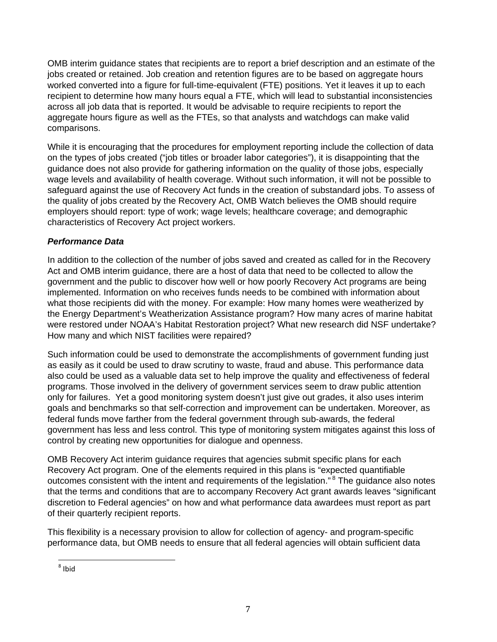OMB interim guidance states that recipients are to report a brief description and an estimate of the jobs created or retained. Job creation and retention figures are to be based on aggregate hours worked converted into a figure for full-time-equivalent (FTE) positions. Yet it leaves it up to each recipient to determine how many hours equal a FTE, which will lead to substantial inconsistencies across all job data that is reported. It would be advisable to require recipients to report the aggregate hours figure as well as the FTEs, so that analysts and watchdogs can make valid comparisons.

While it is encouraging that the procedures for employment reporting include the collection of data on the types of jobs created ("job titles or broader labor categories"), it is disappointing that the guidance does not also provide for gathering information on the quality of those jobs, especially wage levels and availability of health coverage. Without such information, it will not be possible to safeguard against the use of Recovery Act funds in the creation of substandard jobs. To assess of the quality of jobs created by the Recovery Act, OMB Watch believes the OMB should require employers should report: type of work; wage levels; healthcare coverage; and demographic characteristics of Recovery Act project workers.

#### *Performance Data*

In addition to the collection of the number of jobs saved and created as called for in the Recovery Act and OMB interim guidance, there are a host of data that need to be collected to allow the government and the public to discover how well or how poorly Recovery Act programs are being implemented. Information on who receives funds needs to be combined with information about what those recipients did with the money. For example: How many homes were weatherized by the Energy Department's Weatherization Assistance program? How many acres of marine habitat were restored under NOAA's Habitat Restoration project? What new research did NSF undertake? How many and which NIST facilities were repaired?

Such information could be used to demonstrate the accomplishments of government funding just as easily as it could be used to draw scrutiny to waste, fraud and abuse. This performance data also could be used as a valuable data set to help improve the quality and effectiveness of federal programs. Those involved in the delivery of government services seem to draw public attention only for failures. Yet a good monitoring system doesn't just give out grades, it also uses interim goals and benchmarks so that self-correction and improvement can be undertaken. Moreover, as federal funds move farther from the federal government through sub-awards, the federal government has less and less control. This type of monitoring system mitigates against this loss of control by creating new opportunities for dialogue and openness.

OMB Recovery Act interim guidance requires that agencies submit specific plans for each Recovery Act program. One of the elements required in this plans is "expected quantifiable outcomes consistent with the intent and requirements of the legislation."<sup>8</sup> The guidance also notes that the terms and conditions that are to accompany Recovery Act grant awards leaves "significant discretion to Federal agencies" on how and what performance data awardees must report as part of their quarterly recipient reports.

This flexibility is a necessary provision to allow for collection of agency- and program-specific performance data, but OMB needs to ensure that all federal agencies will obtain sufficient data

<sup>&</sup>lt;u> Andreas Andreas Andreas Andreas Andreas Andreas Andreas Andreas Andreas Andreas Andreas Andreas Andreas Andreas</u>  $8$  Ibid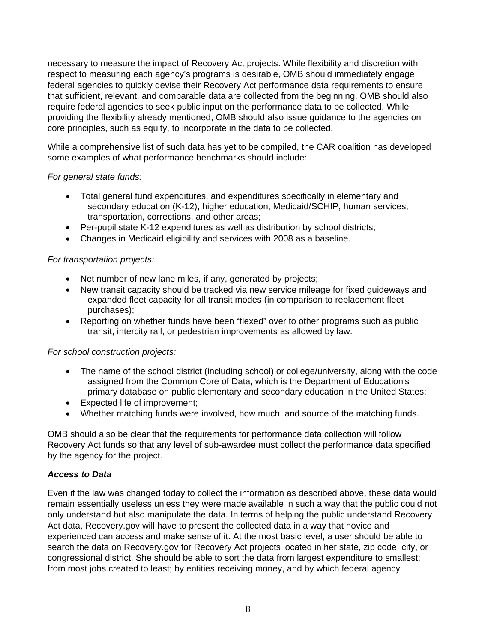necessary to measure the impact of Recovery Act projects. While flexibility and discretion with respect to measuring each agency's programs is desirable, OMB should immediately engage federal agencies to quickly devise their Recovery Act performance data requirements to ensure that sufficient, relevant, and comparable data are collected from the beginning. OMB should also require federal agencies to seek public input on the performance data to be collected. While providing the flexibility already mentioned, OMB should also issue guidance to the agencies on core principles, such as equity, to incorporate in the data to be collected.

While a comprehensive list of such data has yet to be compiled, the CAR coalition has developed some examples of what performance benchmarks should include:

#### *For general state funds:*

- Total general fund expenditures, and expenditures specifically in elementary and secondary education (K-12), higher education, Medicaid/SCHIP, human services, transportation, corrections, and other areas;
- Per-pupil state K-12 expenditures as well as distribution by school districts;
- Changes in Medicaid eligibility and services with 2008 as a baseline.

#### *For transportation projects:*

- Net number of new lane miles, if any, generated by projects;
- New transit capacity should be tracked via new service mileage for fixed guideways and expanded fleet capacity for all transit modes (in comparison to replacement fleet purchases);
- Reporting on whether funds have been "flexed" over to other programs such as public transit, intercity rail, or pedestrian improvements as allowed by law.

#### *For school construction projects:*

- The name of the school district (including school) or college/university, along with the code assigned from the Common Core of Data, which is the Department of Education's primary database on public elementary and secondary education in the United States;
- Expected life of improvement;
- Whether matching funds were involved, how much, and source of the matching funds.

OMB should also be clear that the requirements for performance data collection will follow Recovery Act funds so that any level of sub-awardee must collect the performance data specified by the agency for the project.

#### *Access to Data*

Even if the law was changed today to collect the information as described above, these data would remain essentially useless unless they were made available in such a way that the public could not only understand but also manipulate the data. In terms of helping the public understand Recovery Act data, Recovery.gov will have to present the collected data in a way that novice and experienced can access and make sense of it. At the most basic level, a user should be able to search the data on Recovery.gov for Recovery Act projects located in her state, zip code, city, or congressional district. She should be able to sort the data from largest expenditure to smallest; from most jobs created to least; by entities receiving money, and by which federal agency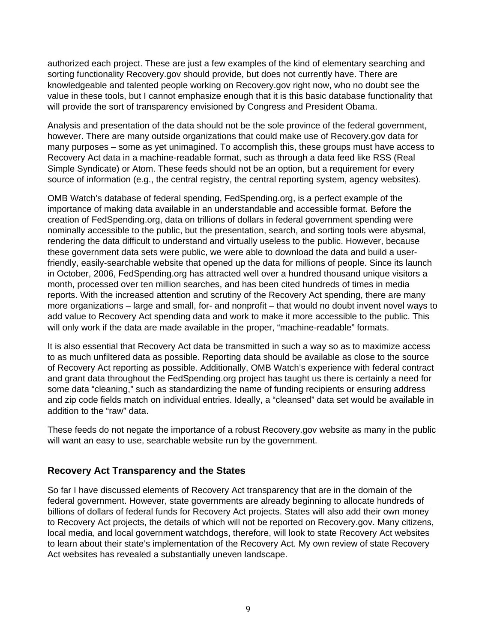authorized each project. These are just a few examples of the kind of elementary searching and sorting functionality Recovery.gov should provide, but does not currently have. There are knowledgeable and talented people working on Recovery.gov right now, who no doubt see the value in these tools, but I cannot emphasize enough that it is this basic database functionality that will provide the sort of transparency envisioned by Congress and President Obama.

Analysis and presentation of the data should not be the sole province of the federal government, however. There are many outside organizations that could make use of Recovery.gov data for many purposes – some as yet unimagined. To accomplish this, these groups must have access to Recovery Act data in a machine-readable format, such as through a data feed like RSS (Real Simple Syndicate) or Atom. These feeds should not be an option, but a requirement for every source of information (e.g., the central registry, the central reporting system, agency websites).

OMB Watch's database of federal spending, FedSpending.org, is a perfect example of the importance of making data available in an understandable and accessible format. Before the creation of FedSpending.org, data on trillions of dollars in federal government spending were nominally accessible to the public, but the presentation, search, and sorting tools were abysmal, rendering the data difficult to understand and virtually useless to the public. However, because these government data sets were public, we were able to download the data and build a userfriendly, easily-searchable website that opened up the data for millions of people. Since its launch in October, 2006, FedSpending.org has attracted well over a hundred thousand unique visitors a month, processed over ten million searches, and has been cited hundreds of times in media reports. With the increased attention and scrutiny of the Recovery Act spending, there are many more organizations – large and small, for- and nonprofit – that would no doubt invent novel ways to add value to Recovery Act spending data and work to make it more accessible to the public. This will only work if the data are made available in the proper, "machine-readable" formats.

It is also essential that Recovery Act data be transmitted in such a way so as to maximize access to as much unfiltered data as possible. Reporting data should be available as close to the source of Recovery Act reporting as possible. Additionally, OMB Watch's experience with federal contract and grant data throughout the FedSpending.org project has taught us there is certainly a need for some data "cleaning," such as standardizing the name of funding recipients or ensuring address and zip code fields match on individual entries. Ideally, a "cleansed" data set would be available in addition to the "raw" data.

These feeds do not negate the importance of a robust Recovery.gov website as many in the public will want an easy to use, searchable website run by the government.

## **Recovery Act Transparency and the States**

So far I have discussed elements of Recovery Act transparency that are in the domain of the federal government. However, state governments are already beginning to allocate hundreds of billions of dollars of federal funds for Recovery Act projects. States will also add their own money to Recovery Act projects, the details of which will not be reported on Recovery.gov. Many citizens, local media, and local government watchdogs, therefore, will look to state Recovery Act websites to learn about their state's implementation of the Recovery Act. My own review of state Recovery Act websites has revealed a substantially uneven landscape.